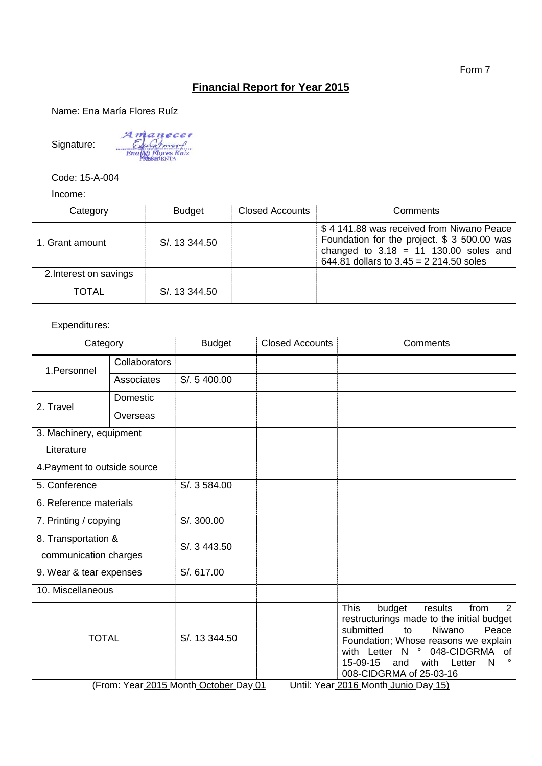## **Financial Report for Year 2015**

Name: Ena María Flores Ruíz

Signature:

Amanecer<br>Elements<br>Enally Flores Ruiz

Code: 15-A-004

Income:

| Category               | <b>Budget</b> | <b>Closed Accounts</b> | Comments                                                                                                                                                                        |
|------------------------|---------------|------------------------|---------------------------------------------------------------------------------------------------------------------------------------------------------------------------------|
| 1. Grant amount        | S/, 13 344.50 |                        | \$4 141.88 was received from Niwano Peace<br>Foundation for the project. \$ 3 500.00 was<br>changed to $3.18 = 11$ 130.00 soles and<br>644.81 dollars to $3.45 = 2214.50$ soles |
| 2. Interest on savings |               |                        |                                                                                                                                                                                 |
| <b>TOTAL</b>           | S/, 13 344.50 |                        |                                                                                                                                                                                 |

## Expenditures:

| Category                                     |                                                                                                                                                                                                                              | <b>Budget</b>                          | <b>Closed Accounts</b> | Comments                                                                                                                                                                                       |
|----------------------------------------------|------------------------------------------------------------------------------------------------------------------------------------------------------------------------------------------------------------------------------|----------------------------------------|------------------------|------------------------------------------------------------------------------------------------------------------------------------------------------------------------------------------------|
| 1.Personnel                                  | Collaborators                                                                                                                                                                                                                |                                        |                        |                                                                                                                                                                                                |
|                                              | S/. 5 400.00<br>Associates<br>Domestic<br>Overseas<br>S/. 3 584.00<br>S/. 300.00<br>S/. 3 443.50<br>S/. 617.00<br><b>This</b><br>budget<br>results<br>submitted<br>Niwano<br>to<br>S/. 13 344.50<br>$\circ$<br>with Letter N |                                        |                        |                                                                                                                                                                                                |
| 2. Travel                                    |                                                                                                                                                                                                                              |                                        |                        |                                                                                                                                                                                                |
|                                              |                                                                                                                                                                                                                              |                                        |                        |                                                                                                                                                                                                |
| 3. Machinery, equipment                      |                                                                                                                                                                                                                              |                                        |                        |                                                                                                                                                                                                |
| Literature                                   |                                                                                                                                                                                                                              |                                        |                        |                                                                                                                                                                                                |
| 4. Payment to outside source                 |                                                                                                                                                                                                                              |                                        |                        |                                                                                                                                                                                                |
| 5. Conference                                |                                                                                                                                                                                                                              |                                        |                        |                                                                                                                                                                                                |
| 6. Reference materials                       |                                                                                                                                                                                                                              |                                        |                        |                                                                                                                                                                                                |
| 7. Printing / copying                        |                                                                                                                                                                                                                              |                                        |                        |                                                                                                                                                                                                |
| 8. Transportation &<br>communication charges |                                                                                                                                                                                                                              |                                        |                        |                                                                                                                                                                                                |
| 9. Wear & tear expenses                      |                                                                                                                                                                                                                              |                                        |                        |                                                                                                                                                                                                |
| 10. Miscellaneous                            |                                                                                                                                                                                                                              |                                        |                        |                                                                                                                                                                                                |
| <b>TOTAL</b>                                 |                                                                                                                                                                                                                              |                                        |                        | from<br>2<br>restructurings made to the initial budget<br>Peace<br>Foundation; Whose reasons we explain<br>048-CIDGRMA of<br>15-09-15<br>with<br>Letter<br>and<br>N<br>008-CIDGRMA of 25-03-16 |
|                                              |                                                                                                                                                                                                                              | (From: Year 2015 Month October Day 01) |                        | Lintil: Vear 2016 Month Junio Day 15)                                                                                                                                                          |

(From: Year 2015 Month October Day 01 Until: Year 2016 Month Junio Day 15)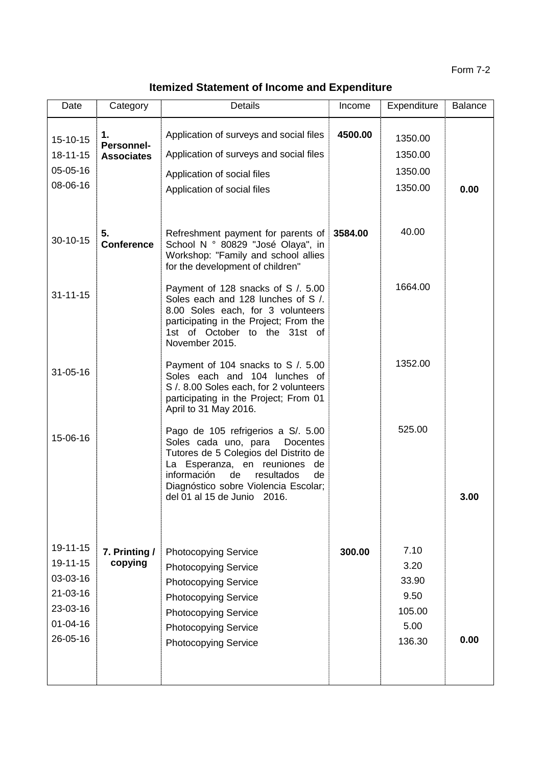## **Itemized Statement of Income and Expenditure**

| Date                                                                                               | Category                              | <b>Details</b>                                                                                                                                                                                                                                                      | Income  | Expenditure                                               | <b>Balance</b> |
|----------------------------------------------------------------------------------------------------|---------------------------------------|---------------------------------------------------------------------------------------------------------------------------------------------------------------------------------------------------------------------------------------------------------------------|---------|-----------------------------------------------------------|----------------|
| $15 - 10 - 15$<br>18-11-15<br>05-05-16<br>08-06-16                                                 | 1.<br>Personnel-<br><b>Associates</b> | Application of surveys and social files<br>Application of surveys and social files<br>Application of social files<br>Application of social files                                                                                                                    | 4500.00 | 1350.00<br>1350.00<br>1350.00<br>1350.00                  | 0.00           |
| $30 - 10 - 15$                                                                                     | 5.<br><b>Conference</b>               | Refreshment payment for parents of<br>School N ° 80829 "José Olaya", in<br>Workshop: "Family and school allies<br>for the development of children"                                                                                                                  | 3584.00 | 40.00                                                     |                |
| $31 - 11 - 15$                                                                                     |                                       | Payment of 128 snacks of S / 5.00<br>Soles each and 128 lunches of S /.<br>8.00 Soles each, for 3 volunteers<br>participating in the Project; From the<br>1st of October to the 31st of<br>November 2015.                                                           |         | 1664.00                                                   |                |
| $31 - 05 - 16$                                                                                     |                                       | Payment of 104 snacks to S / 5.00<br>Soles each and 104 lunches of<br>S / 8.00 Soles each, for 2 volunteers<br>participating in the Project; From 01<br>April to 31 May 2016.                                                                                       |         | 1352.00                                                   |                |
| 15-06-16                                                                                           |                                       | Pago de 105 refrigerios a S/. 5.00<br>Soles cada uno, para<br>Docentes<br>Tutores de 5 Colegios del Distrito de<br>La Esperanza, en reuniones<br>de<br>información<br>de<br>resultados<br>de<br>Diagnóstico sobre Violencia Escolar;<br>del 01 al 15 de Junio 2016. |         | 525.00                                                    | 3.00           |
| $19 - 11 - 15$<br>19-11-15<br>03-03-16<br>$21 - 03 - 16$<br>23-03-16<br>$01 - 04 - 16$<br>26-05-16 | 7. Printing /<br>copying              | <b>Photocopying Service</b><br><b>Photocopying Service</b><br><b>Photocopying Service</b><br><b>Photocopying Service</b><br><b>Photocopying Service</b><br><b>Photocopying Service</b><br><b>Photocopying Service</b>                                               | 300.00  | 7.10<br>3.20<br>33.90<br>9.50<br>105.00<br>5.00<br>136.30 | 0.00           |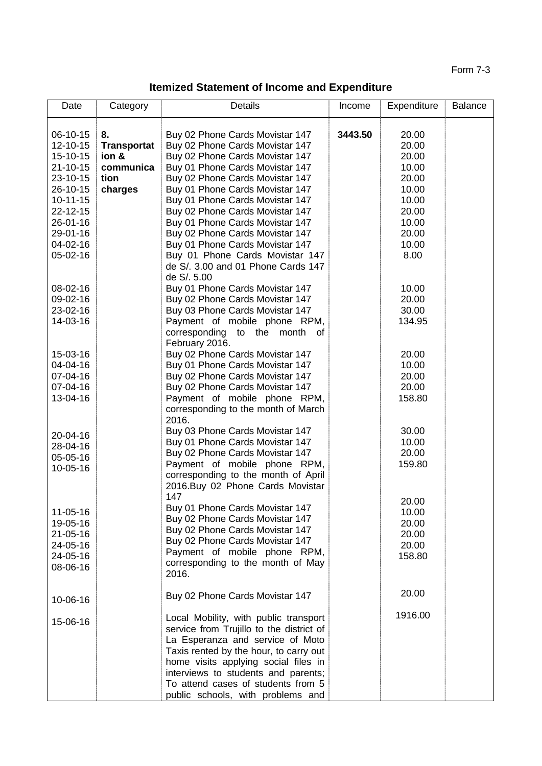Form 7-3

**Itemized Statement of Income and Expenditure**

| Date                 | Category           | <b>Details</b>                                                     | Income  | Expenditure    | <b>Balance</b> |
|----------------------|--------------------|--------------------------------------------------------------------|---------|----------------|----------------|
|                      |                    |                                                                    |         |                |                |
| 06-10-15             | 8.                 | Buy 02 Phone Cards Movistar 147                                    | 3443.50 | 20.00          |                |
| 12-10-15             | <b>Transportat</b> | Buy 02 Phone Cards Movistar 147                                    |         | 20.00          |                |
| 15-10-15             | ion &              | Buy 02 Phone Cards Movistar 147                                    |         | 20.00          |                |
| 21-10-15             | communica          | Buy 01 Phone Cards Movistar 147                                    |         | 10.00          |                |
| 23-10-15             | tion               | Buy 02 Phone Cards Movistar 147                                    |         | 20.00          |                |
| 26-10-15             | charges            | Buy 01 Phone Cards Movistar 147                                    |         | 10.00          |                |
| $10 - 11 - 15$       |                    | Buy 01 Phone Cards Movistar 147                                    |         | 10.00          |                |
| 22-12-15             |                    | Buy 02 Phone Cards Movistar 147                                    |         | 20.00          |                |
| 26-01-16             |                    | Buy 01 Phone Cards Movistar 147                                    |         | 10.00<br>20.00 |                |
| 29-01-16<br>04-02-16 |                    | Buy 02 Phone Cards Movistar 147<br>Buy 01 Phone Cards Movistar 147 |         | 10.00          |                |
| 05-02-16             |                    | Buy 01 Phone Cards Movistar 147                                    |         | 8.00           |                |
|                      |                    | de S/. 3.00 and 01 Phone Cards 147                                 |         |                |                |
|                      |                    | de S/. 5.00                                                        |         |                |                |
| 08-02-16             |                    | Buy 01 Phone Cards Movistar 147                                    |         | 10.00          |                |
| 09-02-16             |                    | Buy 02 Phone Cards Movistar 147                                    |         | 20.00          |                |
| 23-02-16             |                    | Buy 03 Phone Cards Movistar 147                                    |         | 30.00          |                |
| 14-03-16             |                    | Payment of mobile phone RPM,                                       |         | 134.95         |                |
|                      |                    | corresponding to the month<br>of                                   |         |                |                |
|                      |                    | February 2016.                                                     |         |                |                |
| 15-03-16             |                    | Buy 02 Phone Cards Movistar 147                                    |         | 20.00          |                |
| 04-04-16             |                    | Buy 01 Phone Cards Movistar 147                                    |         | 10.00          |                |
| 07-04-16             |                    | Buy 02 Phone Cards Movistar 147                                    |         | 20.00          |                |
| 07-04-16             |                    | Buy 02 Phone Cards Movistar 147                                    |         | 20.00          |                |
| 13-04-16             |                    | Payment of mobile phone RPM,                                       |         | 158.80         |                |
|                      |                    | corresponding to the month of March<br>2016.                       |         |                |                |
|                      |                    | Buy 03 Phone Cards Movistar 147                                    |         | 30.00          |                |
| 20-04-16             |                    | Buy 01 Phone Cards Movistar 147                                    |         | 10.00          |                |
| 28-04-16             |                    | Buy 02 Phone Cards Movistar 147                                    |         | 20.00          |                |
| 05-05-16             |                    | Payment of mobile phone RPM,                                       |         | 159.80         |                |
| 10-05-16             |                    | corresponding to the month of April                                |         |                |                |
|                      |                    | 2016.Buy 02 Phone Cards Movistar                                   |         |                |                |
|                      |                    | 147                                                                |         | 20.00          |                |
| 11-05-16             |                    | Buy 01 Phone Cards Movistar 147                                    |         | 10.00          |                |
| 19-05-16             |                    | Buy 02 Phone Cards Movistar 147                                    |         | 20.00          |                |
| $21 - 05 - 16$       |                    | Buy 02 Phone Cards Movistar 147                                    |         | 20.00          |                |
| 24-05-16             |                    | Buy 02 Phone Cards Movistar 147                                    |         | 20.00          |                |
| 24-05-16             |                    | Payment of mobile phone RPM,                                       |         | 158.80         |                |
| 08-06-16             |                    | corresponding to the month of May                                  |         |                |                |
|                      |                    | 2016.                                                              |         |                |                |
|                      |                    | Buy 02 Phone Cards Movistar 147                                    |         | 20.00          |                |
| 10-06-16             |                    |                                                                    |         |                |                |
|                      |                    | Local Mobility, with public transport                              |         | 1916.00        |                |
| 15-06-16             |                    | service from Trujillo to the district of                           |         |                |                |
|                      |                    | La Esperanza and service of Moto                                   |         |                |                |
|                      |                    | Taxis rented by the hour, to carry out                             |         |                |                |
|                      |                    | home visits applying social files in                               |         |                |                |
|                      |                    | interviews to students and parents;                                |         |                |                |
|                      |                    | To attend cases of students from 5                                 |         |                |                |
|                      |                    | public schools, with problems and                                  |         |                |                |